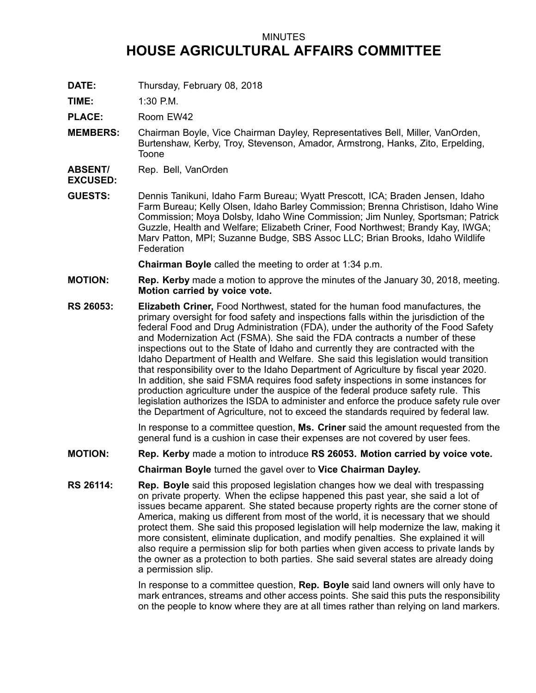## MINUTES **HOUSE AGRICULTURAL AFFAIRS COMMITTEE**

**DATE:** Thursday, February 08, 2018

**TIME:** 1:30 P.M.

PLACE: Room EW42

**MEMBERS:** Chairman Boyle, Vice Chairman Dayley, Representatives Bell, Miller, VanOrden, Burtenshaw, Kerby, Troy, Stevenson, Amador, Armstrong, Hanks, Zito, Erpelding, Toone

**ABSENT/** Rep. Bell, VanOrden

## **EXCUSED:**

**GUESTS:** Dennis Tanikuni, Idaho Farm Bureau; Wyatt Prescott, ICA; Braden Jensen, Idaho Farm Bureau; Kelly Olsen, Idaho Barley Commission; Brenna Christison, Idaho Wine Commission; Moya Dolsby, Idaho Wine Commission; Jim Nunley, Sportsman; Patrick Guzzle, Health and Welfare; Elizabeth Criner, Food Northwest; Brandy Kay, IWGA; Marv Patton, MPI; Suzanne Budge, SBS Assoc LLC; Brian Brooks, Idaho Wildlife **Federation** 

**Chairman Boyle** called the meeting to order at 1:34 p.m.

- **MOTION: Rep. Kerby** made <sup>a</sup> motion to approve the minutes of the January 30, 2018, meeting. **Motion carried by voice vote.**
- **RS 26053: Elizabeth Criner,** Food Northwest, stated for the human food manufactures, the primary oversight for food safety and inspections falls within the jurisdiction of the federal Food and Drug Administration (FDA), under the authority of the Food Safety and Modernization Act (FSMA). She said the FDA contracts <sup>a</sup> number of these inspections out to the State of Idaho and currently they are contracted with the Idaho Department of Health and Welfare. She said this legislation would transition that responsibility over to the Idaho Department of Agriculture by fiscal year 2020. In addition, she said FSMA requires food safety inspections in some instances for production agriculture under the auspice of the federal produce safety rule. This legislation authorizes the ISDA to administer and enforce the produce safety rule over the Department of Agriculture, not to exceed the standards required by federal law.

In response to <sup>a</sup> committee question, **Ms. Criner** said the amount requested from the general fund is <sup>a</sup> cushion in case their expenses are not covered by user fees.

**MOTION: Rep. Kerby** made <sup>a</sup> motion to introduce **RS 26053. Motion carried by voice vote.**

**Chairman Boyle** turned the gavel over to **Vice Chairman Dayley.**

**RS 26114: Rep. Boyle** said this proposed legislation changes how we deal with trespassing on private property. When the eclipse happened this past year, she said <sup>a</sup> lot of issues became apparent. She stated because property rights are the corner stone of America, making us different from most of the world, it is necessary that we should protect them. She said this proposed legislation will help modernize the law, making it more consistent, eliminate duplication, and modify penalties. She explained it will also require <sup>a</sup> permission slip for both parties when given access to private lands by the owner as <sup>a</sup> protection to both parties. She said several states are already doing <sup>a</sup> permission slip.

> In response to <sup>a</sup> committee question, **Rep. Boyle** said land owners will only have to mark entrances, streams and other access points. She said this puts the responsibility on the people to know where they are at all times rather than relying on land markers.